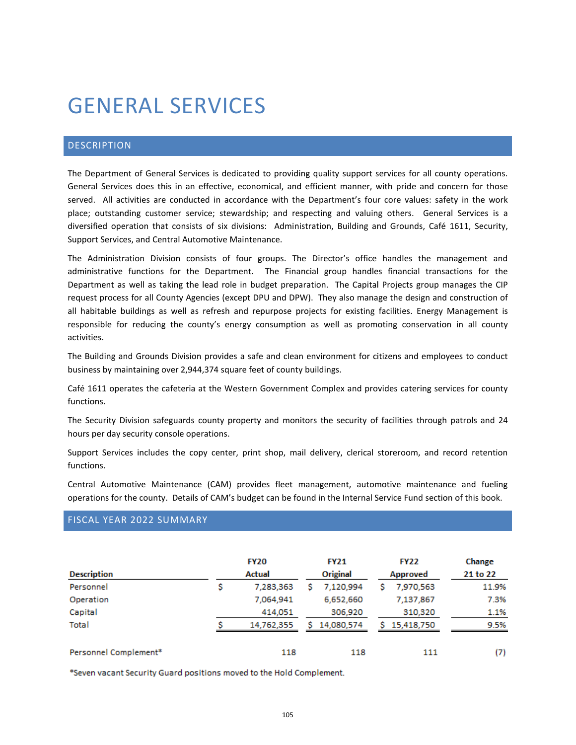# GENERAL SERVICES

# DESCRIPTION

The Department of General Services is dedicated to providing quality support services for all county operations. General Services does this in an effective, economical, and efficient manner, with pride and concern for those served. All activities are conducted in accordance with the Department's four core values: safety in the work place; outstanding customer service; stewardship; and respecting and valuing others. General Services is a diversified operation that consists of six divisions: Administration, Building and Grounds, Café 1611, Security, Support Services, and Central Automotive Maintenance.

The Administration Division consists of four groups. The Director's office handles the management and administrative functions for the Department. The Financial group handles financial transactions for the Department as well as taking the lead role in budget preparation. The Capital Projects group manages the CIP request process for all County Agencies (except DPU and DPW). They also manage the design and construction of all habitable buildings as well as refresh and repurpose projects for existing facilities. Energy Management is responsible for reducing the county's energy consumption as well as promoting conservation in all county activities.

The Building and Grounds Division provides a safe and clean environment for citizens and employees to conduct business by maintaining over 2,944,374 square feet of county buildings.

Café 1611 operates the cafeteria at the Western Government Complex and provides catering services for county functions.

The Security Division safeguards county property and monitors the security of facilities through patrols and 24 hours per day security console operations.

Support Services includes the copy center, print shop, mail delivery, clerical storeroom, and record retention functions.

Central Automotive Maintenance (CAM) provides fleet management, automotive maintenance and fueling operations for the county. Details of CAM's budget can be found in the Internal Service Fund section of this book.

## FISCAL YEAR 2022 SUMMARY

| <b>Description</b>    |   | <b>FY20</b><br>Actual |    | <b>FY21</b><br><b>Original</b> | <b>FY22</b><br>Approved |            | Change<br>21 to 22 |
|-----------------------|---|-----------------------|----|--------------------------------|-------------------------|------------|--------------------|
| Personnel             | s | 7.283.363             | s  | 7.120.994                      |                         | 7,970,563  | 11.9%              |
| Operation             |   | 7.064.941             |    | 6,652,660                      |                         | 7,137,867  | 7.3%               |
| Capital               |   | 414.051               |    | 306,920                        |                         | 310,320    | 1.1%               |
| Total                 |   | 14,762,355            | S. | 14,080,574                     | s.                      | 15,418,750 | 9.5%               |
| Personnel Complement* |   | 118                   |    | 118                            |                         | 111        | (7)                |

\*Seven vacant Security Guard positions moved to the Hold Complement.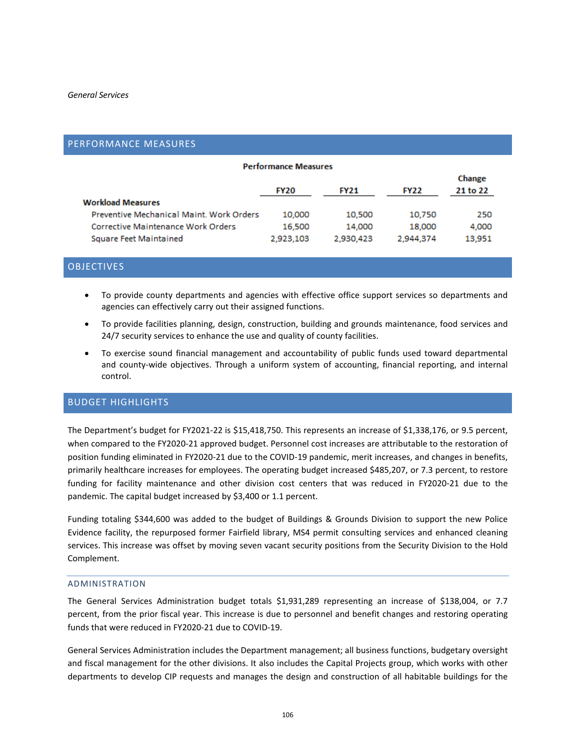## PERFORMANCE MEASURES

| <b>Performance Measures</b>               |             |             |             |                    |  |  |  |  |
|-------------------------------------------|-------------|-------------|-------------|--------------------|--|--|--|--|
|                                           | <b>FY20</b> | <b>FY21</b> | <b>FY22</b> | Change<br>21 to 22 |  |  |  |  |
| <b>Workload Measures</b>                  |             |             |             |                    |  |  |  |  |
| Preventive Mechanical Maint. Work Orders  | 10,000      | 10,500      | 10,750      | 250                |  |  |  |  |
| <b>Corrective Maintenance Work Orders</b> | 16,500      | 14,000      | 18,000      | 4,000              |  |  |  |  |
| <b>Square Feet Maintained</b>             | 2,923,103   | 2.930.423   | 2,944,374   | 13.951             |  |  |  |  |

## **OBJECTIVES**

- To provide county departments and agencies with effective office support services so departments and agencies can effectively carry out their assigned functions.
- To provide facilities planning, design, construction, building and grounds maintenance, food services and 24/7 security services to enhance the use and quality of county facilities.
- To exercise sound financial management and accountability of public funds used toward departmental and county-wide objectives. Through a uniform system of accounting, financial reporting, and internal control.

## BUDGET HIGHLIGHTS

The Department's budget for FY2021-22 is \$15,418,750. This represents an increase of \$1,338,176, or 9.5 percent, when compared to the FY2020-21 approved budget. Personnel cost increases are attributable to the restoration of position funding eliminated in FY2020-21 due to the COVID-19 pandemic, merit increases, and changes in benefits, primarily healthcare increases for employees. The operating budget increased \$485,207, or 7.3 percent, to restore funding for facility maintenance and other division cost centers that was reduced in FY2020-21 due to the pandemic. The capital budget increased by \$3,400 or 1.1 percent.

Funding totaling \$344,600 was added to the budget of Buildings & Grounds Division to support the new Police Evidence facility, the repurposed former Fairfield library, MS4 permit consulting services and enhanced cleaning services. This increase was offset by moving seven vacant security positions from the Security Division to the Hold Complement.

#### ADMINISTRATION

The General Services Administration budget totals \$1,931,289 representing an increase of \$138,004, or 7.7 percent, from the prior fiscal year. This increase is due to personnel and benefit changes and restoring operating funds that were reduced in FY2020-21 due to COVID-19.

General Services Administration includes the Department management; all business functions, budgetary oversight and fiscal management for the other divisions. It also includes the Capital Projects group, which works with other departments to develop CIP requests and manages the design and construction of all habitable buildings for the